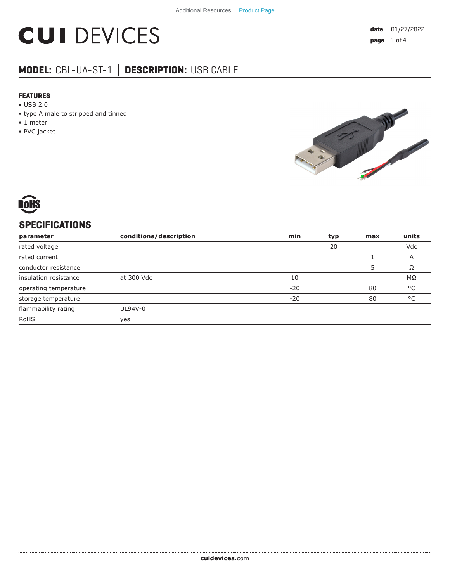# **CUI DEVICES**

### **MODEL:** CBL-UA-ST-1 **│ DESCRIPTION:** USB CABLE

#### **FEATURES**

- USB 2.0
- type A male to stripped and tinned
- 1 meter
- PVC jacket



#### **SPECIFICATIONS**

| parameter             | conditions/description | min   | typ | max | units        |
|-----------------------|------------------------|-------|-----|-----|--------------|
| rated voltage         |                        |       | 20  |     | Vdc          |
| rated current         |                        |       |     |     | A            |
| conductor resistance  |                        |       |     |     | Ω            |
| insulation resistance | at 300 Vdc             | 10    |     |     | $M\Omega$    |
| operating temperature |                        | $-20$ |     | 80  | °C           |
| storage temperature   |                        | $-20$ |     | 80  | $^{\circ}$ C |
| flammability rating   | UL94V-0                |       |     |     |              |
| <b>RoHS</b>           | yes                    |       |     |     |              |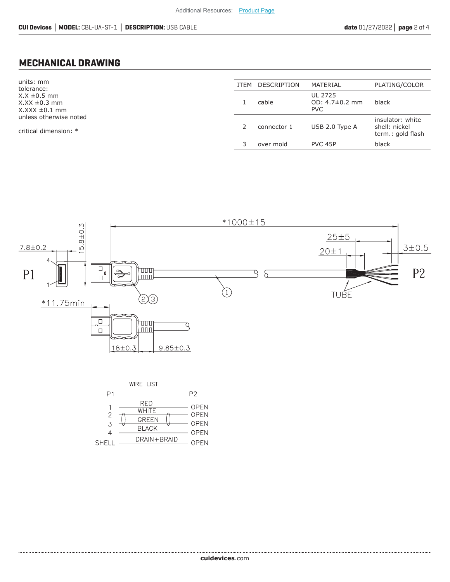#### **MECHANICAL DRAWING**

units: mm tolerance: X.X ±0.5 mm  $X.XX \pm 0.3$  mm  $X.XXX \pm 0.1$  mm unless otherwise noted

critical dimension: \*

| <b>ITFM</b> | DESCRIPTION | MATERIAL                                | PLATING/COLOR                                          |
|-------------|-------------|-----------------------------------------|--------------------------------------------------------|
|             | cable       | UL 2725<br>OD: 4.7±0.2 mm<br><b>PVC</b> | black                                                  |
| 2           | connector 1 | USB 2.0 Type A                          | insulator: white<br>shell: nickel<br>term.: gold flash |
|             | over mold   | PVC 45P                                 | black                                                  |
|             |             |                                         |                                                        |



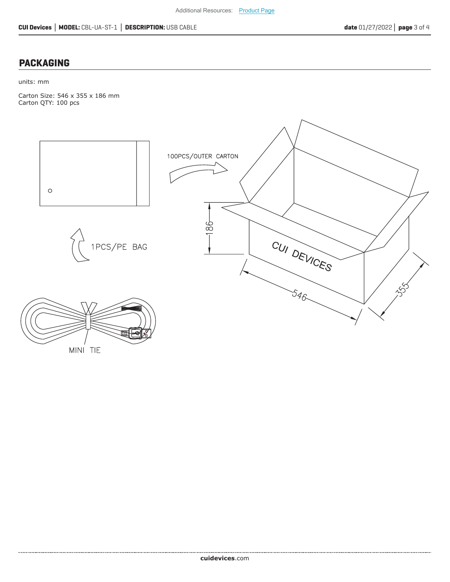#### **PACKAGING**

units: mm

Carton Size: 546 x 355 x 186 mm Carton QTY: 100 pcs



MINI TIE